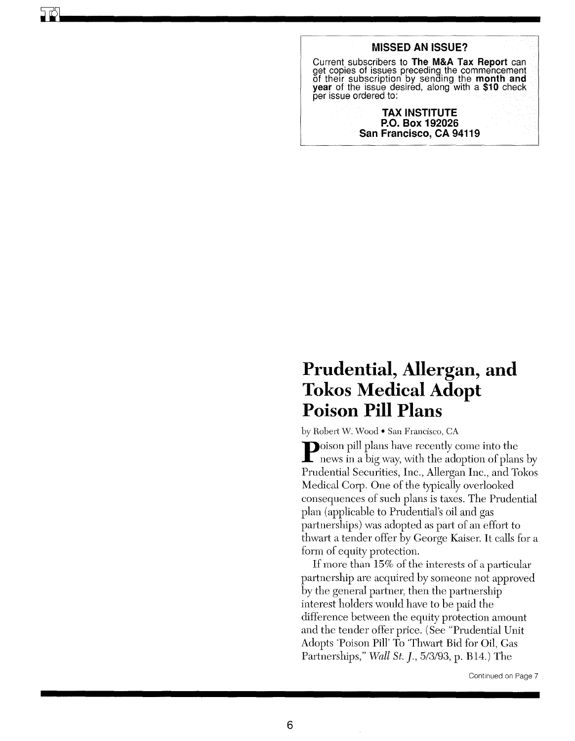# **Prudential, Allergan, and Tokos Medical Adopt Poison Pill Plans**

by Robert W. Wood • San Francisco, CA

**P**oison pill plans have recently come into the news in a big way, with the adoption of plans by Prudential Securities, Inc., Allergan Inc., and Tokos Medical Corp. One of the typically overlooked consequences of such plans is taxes. The Prudential plan (applicable to Prudential's oil and gas partnerships) was adopted as part of an effort to thwart a tender offer by George Kaiser. It calls for a form of equity protection.

If more than  $15\%$  of the interests of a particular partnership are acquired by someone not approved by the general partner, then the partnership interest holders would have to be paid the difference between the equity protection amount and the tender offer price. (See "Prudential Unit Adopts 'Poison Pill' To 'Thwart Bid for Oil, Gas Partnerships," *Wall St. J.*, 5/3/93, p. B14.) The

Continued on Page 7